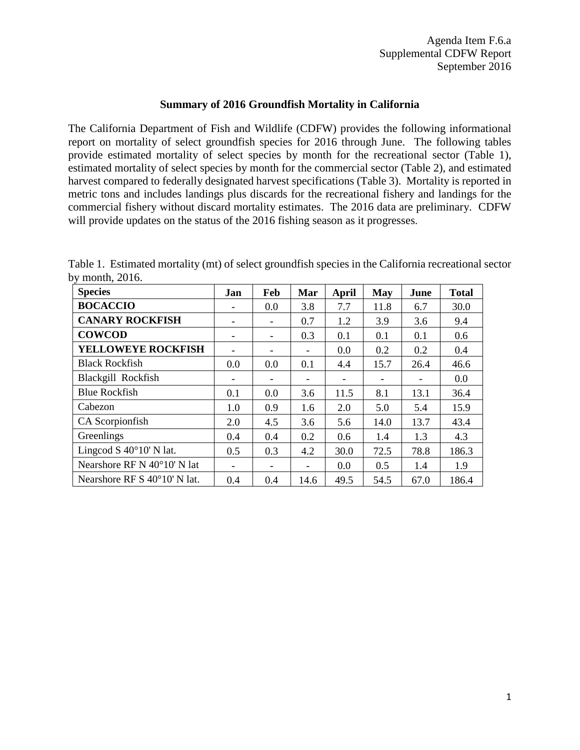## **Summary of 2016 Groundfish Mortality in California**

The California Department of Fish and Wildlife (CDFW) provides the following informational report on mortality of select groundfish species for 2016 through June. The following tables provide estimated mortality of select species by month for the recreational sector [\(Table 1\)](#page-0-0), estimated mortality of select species by month for the commercial sector [\(Table 2\)](#page-1-0), and estimated harvest compared to federally designated harvest specifications [\(Table 3\)](#page-1-1). Mortality is reported in metric tons and includes landings plus discards for the recreational fishery and landings for the commercial fishery without discard mortality estimates. The 2016 data are preliminary. CDFW will provide updates on the status of the 2016 fishing season as it progresses.

<span id="page-0-0"></span>Table 1. Estimated mortality (mt) of select groundfish species in the California recreational sector by month, 2016.

| <b>Species</b>                   | Jan                          | Feb                      | Mar           | April                        | May                      | June                         | <b>Total</b> |
|----------------------------------|------------------------------|--------------------------|---------------|------------------------------|--------------------------|------------------------------|--------------|
| <b>BOCACCIO</b>                  |                              | 0.0                      | 3.8           | 7.7                          | 11.8                     | 6.7                          | 30.0         |
| <b>CANARY ROCKFISH</b>           |                              |                          | 0.7           | 1.2                          | 3.9                      | 3.6                          | 9.4          |
| <b>COWCOD</b>                    | $\overline{\phantom{0}}$     | $\overline{\phantom{a}}$ | 0.3           | 0.1                          | 0.1                      | 0.1                          | 0.6          |
| <b>YELLOWEYE ROCKFISH</b>        | $\overline{\phantom{0}}$     | -                        |               | 0.0                          | 0.2                      | 0.2                          | 0.4          |
| <b>Black Rockfish</b>            | 0.0                          | 0.0                      | 0.1           | 4.4                          | 15.7                     | 26.4                         | 46.6         |
| Blackgill Rockfish               | $\qquad \qquad \blacksquare$ | -                        |               | $\qquad \qquad \blacksquare$ | $\overline{\phantom{a}}$ | $\qquad \qquad \blacksquare$ | 0.0          |
| <b>Blue Rockfish</b>             | 0.1                          | 0.0                      | 3.6           | 11.5                         | 8.1                      | 13.1                         | 36.4         |
| Cabezon                          | 1.0                          | 0.9                      | $1.6^{\circ}$ | 2.0                          | 5.0                      | 5.4                          | 15.9         |
| CA Scorpionfish                  | 2.0                          | 4.5                      | 3.6           | 5.6                          | 14.0                     | 13.7                         | 43.4         |
| Greenlings                       | 0.4                          | 0.4                      | 0.2           | 0.6                          | 1.4                      | 1.3                          | 4.3          |
| Lingcod S $40^{\circ}10'$ N lat. | 0.5                          | 0.3                      | 4.2           | 30.0                         | 72.5                     | 78.8                         | 186.3        |
| Nearshore RF N 40°10' N lat      | $\overline{\phantom{0}}$     | -                        |               | 0.0                          | 0.5                      | 1.4                          | 1.9          |
| Nearshore RF S 40°10' N lat.     | 0.4                          | 0.4                      | 14.6          | 49.5                         | 54.5                     | 67.0                         | 186.4        |